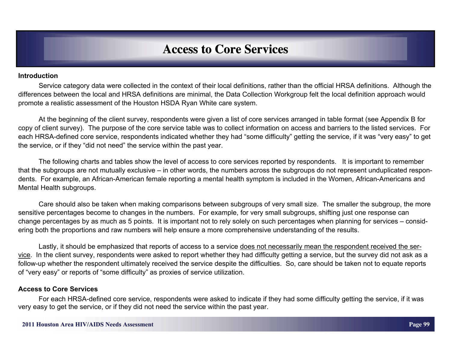#### **Introduction**

Service category data were collected in the context of their local definitions, rather than the official HRSA definitions. Although the differences between the local and HRSA definitions are minimal, the Data Collection Workgroup felt the local definition approach would promote a realistic assessment of the Houston HSDA Ryan White care system.

At the beginning of the client survey, respondents were given a list of core services arranged in table format (see Appendix B for copy of client survey). The purpose of the core service table was to collect information on access and barriers to the listed services. For each HRSA-defined core service, respondents indicated whether they had "some difficulty" getting the service, if it was "very easy" to get the service, or if they "did not need" the service within the past year.

The following charts and tables show the level of access to core services reported by respondents. It is important to remember that the subgroups are not mutually exclusive – in other words, the numbers across the subgroups do not represent unduplicated respondents. For example, an African-American female reporting a mental health symptom is included in the Women, African-Americans and Mental Health subgroups.

Care should also be taken when making comparisons between subgroups of very small size. The smaller the subgroup, the more sensitive percentages become to changes in the numbers. For example, for very small subgroups, shifting just one response can change percentages by as much as 5 points. It is important not to rely solely on such percentages when planning for services – considering both the proportions and raw numbers will help ensure a more comprehensive understanding of the results.

Lastly, it should be emphasized that reports of access to a service does not necessarily mean the respondent received the service. In the client survey, respondents were asked to report whether they had difficulty getting a service, but the survey did not ask as a follow-up whether the respondent ultimately received the service despite the difficulties. So, care should be taken not to equate reports of "very easy" or reports of "some difficulty" as proxies of service utilization.

#### **Access to Core Services**

For each HRSA-defined core service, respondents were asked to indicate if they had some difficulty getting the service, if it was very easy to get the service, or if they did not need the service within the past year.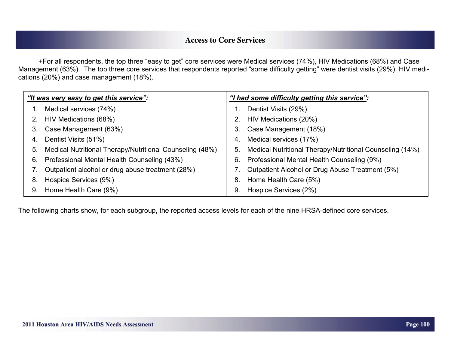+For all respondents, the top three "easy to get" core services were Medical services (74%), HIV Medications (68%) and Case Management (63%). The top three core services that respondents reported "some difficulty getting" were dentist visits (29%), HIV medications (20%) and case management (18%).

| "It was very easy to get this service": |                                                          | "I had some difficulty getting this service": |                                                          |  |  |  |  |  |
|-----------------------------------------|----------------------------------------------------------|-----------------------------------------------|----------------------------------------------------------|--|--|--|--|--|
|                                         | Medical services (74%)                                   |                                               | Dentist Visits (29%)                                     |  |  |  |  |  |
|                                         | HIV Medications (68%)                                    | 2.                                            | HIV Medications (20%)                                    |  |  |  |  |  |
| 3.                                      | Case Management (63%)                                    | 3.                                            | Case Management (18%)                                    |  |  |  |  |  |
| 4.                                      | Dentist Visits (51%)                                     | 4.                                            | Medical services (17%)                                   |  |  |  |  |  |
| 5.                                      | Medical Nutritional Therapy/Nutritional Counseling (48%) | 5.                                            | Medical Nutritional Therapy/Nutritional Counseling (14%) |  |  |  |  |  |
| 6.                                      | Professional Mental Health Counseling (43%)              | 6.                                            | Professional Mental Health Counseling (9%)               |  |  |  |  |  |
|                                         | Outpatient alcohol or drug abuse treatment (28%)         |                                               | Outpatient Alcohol or Drug Abuse Treatment (5%)          |  |  |  |  |  |
| 8.                                      | Hospice Services (9%)                                    | 8.                                            | Home Health Care (5%)                                    |  |  |  |  |  |
| 9.                                      | Home Health Care (9%)                                    | 9.                                            | Hospice Services (2%)                                    |  |  |  |  |  |

The following charts show, for each subgroup, the reported access levels for each of the nine HRSA-defined core services.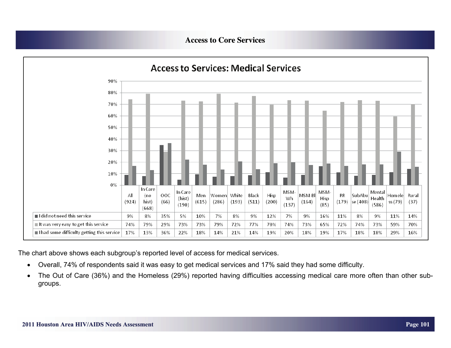

The chart above shows each subgroup's reported level of access for medical services.

- $\bullet$ Overall, 74% of respondents said it was easy to get medical services and 17% said they had some difficulty.
- $\bullet$  The Out of Care (36%) and the Homeless (29%) reported having difficulties accessing medical care more often than other subgroups.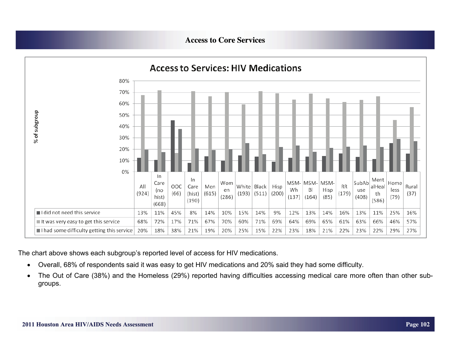

The chart above shows each subgroup's reported level of access for HIV medications.

- $\bullet$ Overall, 68% of respondents said it was easy to get HIV medications and 20% said they had some difficulty.
- $\bullet$  The Out of Care (38%) and the Homeless (29%) reported having difficulties accessing medical care more often than other subgroups.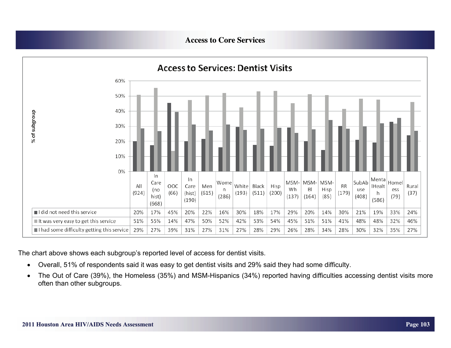

The chart above shows each subgroup's reported level of access for dentist visits.

- $\bullet$ Overall, 51% of respondents said it was easy to get dentist visits and 29% said they had some difficulty.
- $\bullet$  The Out of Care (39%), the Homeless (35%) and MSM-Hispanics (34%) reported having difficulties accessing dentist visits more often than other subgroups.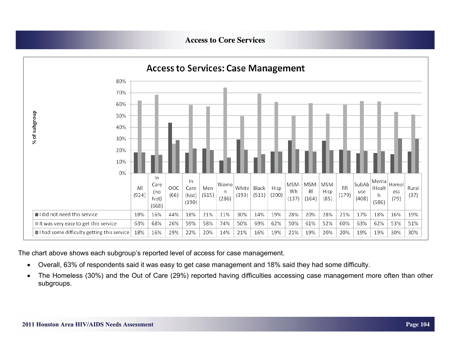

The chart above shows each subgroup's reported level of access for case management.

- $\bullet$ Overall, 63% of respondents said it was easy to get case management and 18% said they had some difficulty.
- $\bullet$  The Homeless (30%) and the Out of Care (29%) reported having difficulties accessing case management more often than other subgroups.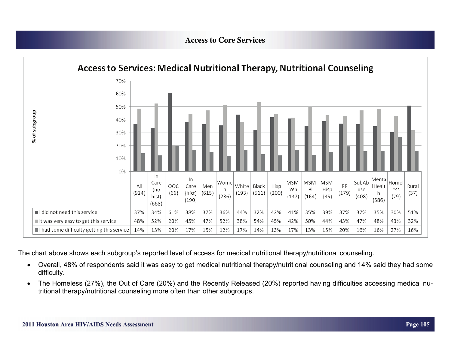

The chart above shows each subgroup's reported level of access for medical nutritional therapy/nutritional counseling.

- $\bullet$  Overall, 48% of respondents said it was easy to get medical nutritional therapy/nutritional counseling and 14% said they had some difficulty.
- $\bullet$  The Homeless (27%), the Out of Care (20%) and the Recently Released (20%) reported having difficulties accessing medical nutritional therapy/nutritional counseling more often than other subgroups.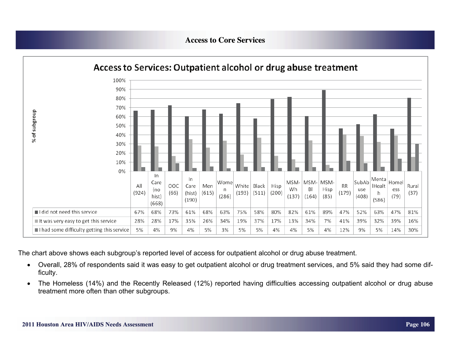

The chart above shows each subgroup's reported level of access for outpatient alcohol or drug abuse treatment.

- $\bullet$  Overall, 28% of respondents said it was easy to get outpatient alcohol or drug treatment services, and 5% said they had some difficulty.
- $\bullet$  The Homeless (14%) and the Recently Released (12%) reported having difficulties accessing outpatient alcohol or drug abuse treatment more often than other subgroups.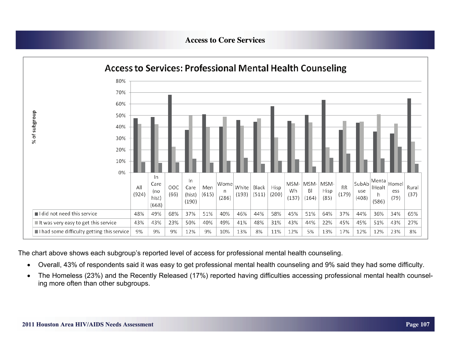

The chart above shows each subgroup's reported level of access for professional mental health counseling.

- $\bullet$ Overall, 43% of respondents said it was easy to get professional mental health counseling and 9% said they had some difficulty.
- $\bullet$  The Homeless (23%) and the Recently Released (17%) reported having difficulties accessing professional mental health counseling more often than other subgroups.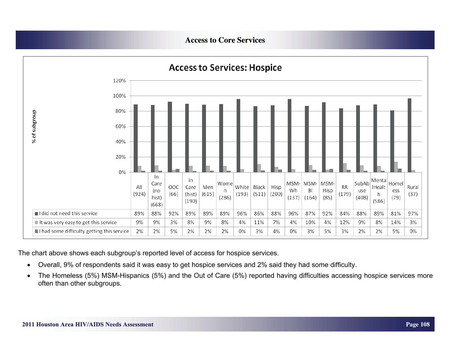

The chart above shows each subgroup's reported level of access for hospice services.

- $\bullet$ Overall, 9% of respondents said it was easy to get hospice services and 2% said they had some difficulty.
- $\bullet$  The Homeless (5%) MSM-Hispanics (5%) and the Out of Care (5%) reported having difficulties accessing hospice services more often than other subgroups.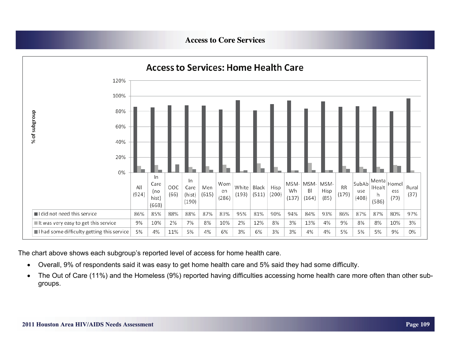

The chart above shows each subgroup's reported level of access for home health care.

- $\bullet$ Overall, 9% of respondents said it was easy to get home health care and 5% said they had some difficulty.
- $\bullet$  The Out of Care (11%) and the Homeless (9%) reported having difficulties accessing home health care more often than other subgroups.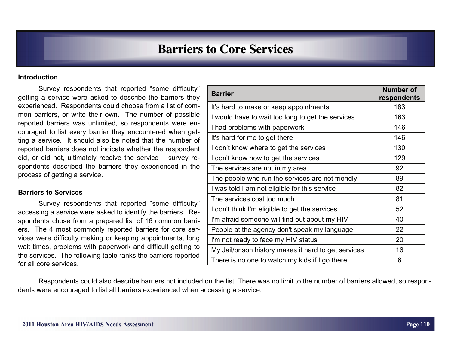## **Barriers to Core Services Barriers to Core Services**

#### **Introduction**

 Survey respondents that reported "some difficulty" getting a service were asked to describe the barriers they experienced. Respondents could choose from a list of common barriers, or write their own. The number of possible reported barriers was unlimited, so respondents were encouraged to list every barrier they encountered when getting a service. It should also be noted that the number of reported barriers does not indicate whether the respondent did, or did not, ultimately receive the service – survey respondents described the barriers they experienced in the process of getting a service.

#### **Barriers to Services**

 Survey respondents that reported "some difficulty" accessing a service were asked to identify the barriers. Respondents chose from a prepared list of 16 common barriers. The 4 most commonly reported barriers for core services were difficulty making or keeping appointments, long wait times, problems with paperwork and difficult getting to the services. The following table ranks the barriers reported for all core services.

| <b>Barrier</b>                                       | <b>Number of</b><br>respondents |
|------------------------------------------------------|---------------------------------|
| It's hard to make or keep appointments.              | 183                             |
| I would have to wait too long to get the services    | 163                             |
| I had problems with paperwork                        | 146                             |
| It's hard for me to get there                        | 146                             |
| I don't know where to get the services               | 130                             |
| I don't know how to get the services                 | 129                             |
| The services are not in my area                      | 92                              |
| The people who run the services are not friendly     | 89                              |
| I was told I am not eligible for this service        | 82                              |
| The services cost too much                           | 81                              |
| I don't think I'm eligible to get the services       | 52                              |
| I'm afraid someone will find out about my HIV        | 40                              |
| People at the agency don't speak my language         | 22                              |
| I'm not ready to face my HIV status                  | 20                              |
| My Jail/prison history makes it hard to get services | 16                              |
| There is no one to watch my kids if I go there       | 6                               |

 Respondents could also describe barriers not included on the list. There was no limit to the number of barriers allowed, so respondents were encouraged to list all barriers experienced when accessing a service.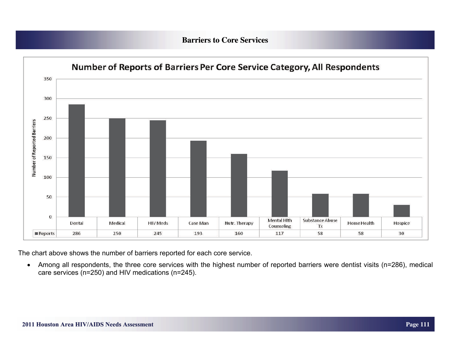### **Barriers to Core Services Barriers to Core Services**



The chart above shows the number of barriers reported for each core service.

 $\bullet$  Among all respondents, the three core services with the highest number of reported barriers were dentist visits (n=286), medical care services (n=250) and HIV medications (n=245).